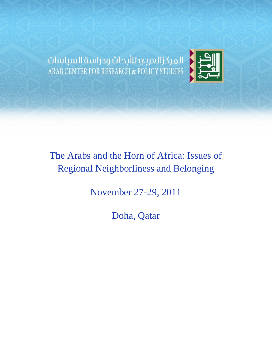المركزالعربي للأبحاث ودراسة السياسات<br>ARAB CENTER FOR RESEARCH & POLICY STUDIES



# The Arabs and the Horn of Africa: Issues of Regional Neighborliness and Belonging

November 27-29, 2011

Doha, Qatar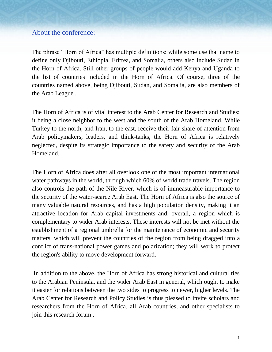### About the conference:

The phrase "Horn of Africa" has multiple definitions: while some use that name to define only Djibouti, Ethiopia, Eritrea, and Somalia, others also include Sudan in the Horn of Africa. Still other groups of people would add Kenya and Uganda to the list of countries included in the Horn of Africa. Of course, three of the countries named above, being Djibouti, Sudan, and Somalia, are also members of the Arab League .

The Horn of Africa is of vital interest to the Arab Center for Research and Studies: it being a close neighbor to the west and the south of the Arab Homeland. While Turkey to the north, and Iran, to the east, receive their fair share of attention from Arab policymakers, leaders, and think-tanks, the Horn of Africa is relatively neglected, despite its strategic importance to the safety and security of the Arab Homeland.

The Horn of Africa does after all overlook one of the most important international water pathways in the world, through which 60% of world trade travels. The region also controls the path of the Nile River, which is of immeasurable importance to the security of the water-scarce Arab East. The Horn of Africa is also the source of many valuable natural resources, and has a high population density, making it an attractive location for Arab capital investments and, overall, a region which is complementary to wider Arab interests. These interests will not be met without the establishment of a regional umbrella for the maintenance of economic and security matters, which will prevent the countries of the region from being dragged into a conflict of trans-national power games and polarization; they will work to protect the region's ability to move development forward.

In addition to the above, the Horn of Africa has strong historical and cultural ties to the Arabian Peninsula, and the wider Arab East in general, which ought to make it easier for relations between the two sides to progress to newer, higher levels. The Arab Center for Research and Policy Studies is thus pleased to invite scholars and researchers from the Horn of Africa, all Arab countries, and other specialists to join this research forum .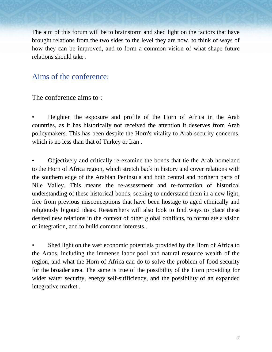The aim of this forum will be to brainstorm and shed light on the factors that have brought relations from the two sides to the level they are now, to think of ways of how they can be improved, and to form a common vision of what shape future relations should take .

# Aims of the conference:

The conference aims to :

• Heighten the exposure and profile of the Horn of Africa in the Arab countries, as it has historically not received the attention it deserves from Arab policymakers. This has been despite the Horn's vitality to Arab security concerns, which is no less than that of Turkey or Iran .

• Objectively and critically re-examine the bonds that tie the Arab homeland to the Horn of Africa region, which stretch back in history and cover relations with the southern edge of the Arabian Peninsula and both central and northern parts of Nile Valley. This means the re-assessment and re-formation of historical understanding of these historical bonds, seeking to understand them in a new light, free from previous misconceptions that have been hostage to aged ethnically and religiously bigoted ideas. Researchers will also look to find ways to place these desired new relations in the context of other global conflicts, to formulate a vision of integration, and to build common interests .

Shed light on the vast economic potentials provided by the Horn of Africa to the Arabs, including the immense labor pool and natural resource wealth of the region, and what the Horn of Africa can do to solve the problem of food security for the broader area. The same is true of the possibility of the Horn providing for wider water security, energy self-sufficiency, and the possibility of an expanded integrative market .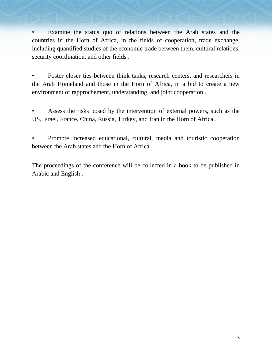Examine the status quo of relations between the Arab states and the countries in the Horn of Africa, in the fields of cooperation, trade exchange, including quantified studies of the economic trade between them, cultural relations, security coordination, and other fields .

Foster closer ties between think tanks, research centers, and researchers in the Arab Homeland and those in the Horn of Africa, in a bid to create a new environment of rapprochement, understanding, and joint cooperation .

Assess the risks posed by the intervention of external powers, such as the US, Israel, France, China, Russia, Turkey, and Iran in the Horn of Africa .

• Promote increased educational, cultural, media and touristic cooperation between the Arab states and the Horn of Africa .

The proceedings of the conference will be collected in a book to be published in Arabic and English .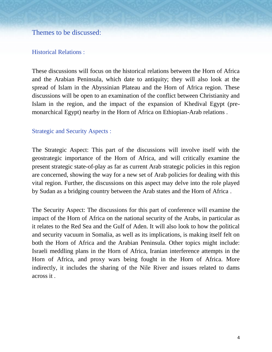### Themes to be discussed:

#### Historical Relations :

These discussions will focus on the historical relations between the Horn of Africa and the Arabian Peninsula, which date to antiquity; they will also look at the spread of Islam in the Abyssinian Plateau and the Horn of Africa region. These discussions will be open to an examination of the conflict between Christianity and Islam in the region, and the impact of the expansion of Khedival Egypt (premonarchical Egypt) nearby in the Horn of Africa on Ethiopian-Arab relations .

#### Strategic and Security Aspects :

The Strategic Aspect: This part of the discussions will involve itself with the geostrategic importance of the Horn of Africa, and will critically examine the present strategic state-of-play as far as current Arab strategic policies in this region are concerned, showing the way for a new set of Arab policies for dealing with this vital region. Further, the discussions on this aspect may delve into the role played by Sudan as a bridging country between the Arab states and the Horn of Africa .

The Security Aspect: The discussions for this part of conference will examine the impact of the Horn of Africa on the national security of the Arabs, in particular as it relates to the Red Sea and the Gulf of Aden. It will also look to how the political and security vacuum in Somalia, as well as its implications, is making itself felt on both the Horn of Africa and the Arabian Peninsula. Other topics might include: Israeli meddling plans in the Horn of Africa, Iranian interference attempts in the Horn of Africa, and proxy wars being fought in the Horn of Africa. More indirectly, it includes the sharing of the Nile River and issues related to dams across it .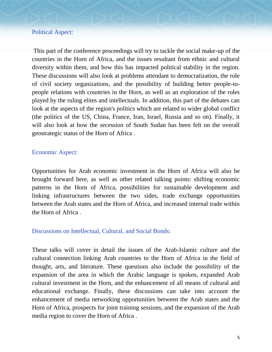#### Political Aspect:

This part of the conference proceedings will try to tackle the social make-up of the countries in the Horn of Africa, and the issues resultant from ethnic and cultural diversity within them, and how this has impacted political stability in the region. These discussions will also look at problems attendant to democratization, the role of civil society organizations, and the possibility of building better people-topeople relations with countries in the Horn, as well as an exploration of the roles played by the ruling elites and intellectuals. In addition, this part of the debates can look at the aspects of the region's politics which are related to wider global conflict (the politics of the US, China, France, Iran, Israel, Russia and so on). Finally, it will also look at how the secession of South Sudan has been felt on the overall geostrategic status of the Horn of Africa .

#### Economic Aspect:

Opportunities for Arab economic investment in the Horn of Africa will also be brought forward here, as well as other related talking points: shifting economic patterns in the Horn of Africa, possibilities for sustainable development and linking infrastructures between the two sides, trade exchange opportunities between the Arab states and the Horn of Africa, and increased internal trade within the Horn of Africa .

#### Discussions on Intellectual, Cultural, and Social Bonds:

These talks will cover in detail the issues of the Arab-Islamic culture and the cultural connection linking Arab countries to the Horn of Africa in the field of thought, arts, and literature. These questions also include the possibility of the expansion of the area in which the Arabic language is spoken, expanded Arab cultural investment in the Horn, and the enhancement of all means of cultural and educational exchange. Finally, these discussions can take into account the enhancement of media networking opportunities between the Arab states and the Horn of Africa, prospects for joint training sessions, and the expansion of the Arab media region to cover the Horn of Africa .